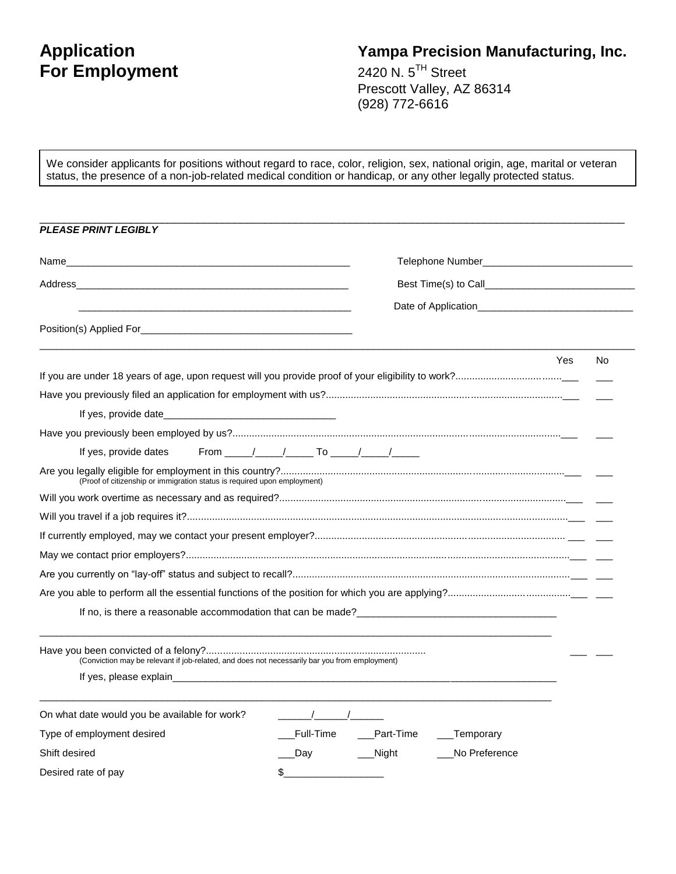# **For Employment**

# **Application Yampa Precision Manufacturing, Inc.**

2420 N.  $5^{TH}$  Street Prescott Valley, AZ 86314 (928) 772-6616

We consider applicants for positions without regard to race, color, religion, sex, national origin, age, marital or veteran status, the presence of a non-job-related medical condition or handicap, or any other legally protected status.

| <b>PLEASE PRINT LEGIBLY</b>                                                                                                                                                                                                            |                       |             |                 |           |  |
|----------------------------------------------------------------------------------------------------------------------------------------------------------------------------------------------------------------------------------------|-----------------------|-------------|-----------------|-----------|--|
| Name with a state of the contract of the contract of the contract of the contract of the contract of the contract of the contract of the contract of the contract of the contract of the contract of the contract of the contr         |                       |             |                 |           |  |
| Address and the contract of the contract of the contract of the contract of the contract of the contract of the                                                                                                                        |                       |             |                 |           |  |
|                                                                                                                                                                                                                                        |                       |             |                 |           |  |
|                                                                                                                                                                                                                                        |                       |             |                 |           |  |
|                                                                                                                                                                                                                                        |                       |             |                 | Yes<br>No |  |
|                                                                                                                                                                                                                                        |                       |             |                 |           |  |
|                                                                                                                                                                                                                                        |                       |             |                 |           |  |
| If yes, provide date and the state of the state of the state of the state of the state of the state of the state of the state of the state of the state of the state of the state of the state of the state of the state of th         |                       |             |                 |           |  |
|                                                                                                                                                                                                                                        |                       |             |                 |           |  |
| If yes, provide dates                                                                                                                                                                                                                  | From $1/2$ / To $1/2$ |             |                 |           |  |
| (Proof of citizenship or immigration status is required upon employment)                                                                                                                                                               |                       |             |                 |           |  |
|                                                                                                                                                                                                                                        |                       |             |                 |           |  |
|                                                                                                                                                                                                                                        |                       |             |                 |           |  |
|                                                                                                                                                                                                                                        |                       |             |                 |           |  |
|                                                                                                                                                                                                                                        |                       |             |                 |           |  |
|                                                                                                                                                                                                                                        |                       |             |                 |           |  |
|                                                                                                                                                                                                                                        |                       |             |                 |           |  |
| If no, is there a reasonable accommodation that can be made?<br><u>Let</u> ra 2020 and 2021 and 2021 and 2021 and 2021 and 2021 and 2021 and 2021 and 2021 and 2021 and 2021 and 2021 and 2021 and 2021 and 2021 and 2021 and 2021 and |                       |             |                 |           |  |
| (Conviction may be relevant if job-related, and does not necessarily bar you from employment)                                                                                                                                          |                       |             |                 |           |  |
|                                                                                                                                                                                                                                        |                       |             |                 |           |  |
| On what date would you be available for work?                                                                                                                                                                                          | $\sqrt{2}$            |             |                 |           |  |
| Type of employment desired                                                                                                                                                                                                             | Full-Time             | __Part-Time | ___Temporary    |           |  |
| Shift desired                                                                                                                                                                                                                          | __Day                 | Night       | __No Preference |           |  |
| Desired rate of pay                                                                                                                                                                                                                    | \$                    |             |                 |           |  |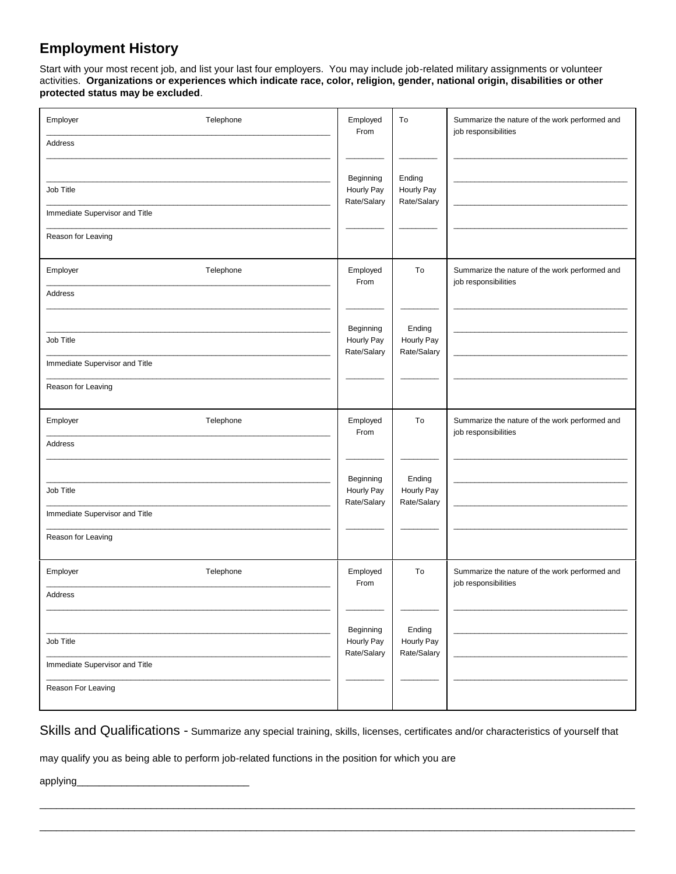## **Employment History**

Start with your most recent job, and list your last four employers. You may include job-related military assignments or volunteer activities. **Organizations or experiences which indicate race, color, religion, gender, national origin, disabilities or other protected status may be excluded**.

| Employer<br>Telephone                                | Employed<br>From                       | To                                  | Summarize the nature of the work performed and<br>job responsibilities |
|------------------------------------------------------|----------------------------------------|-------------------------------------|------------------------------------------------------------------------|
| Address                                              |                                        |                                     |                                                                        |
| Job Title                                            | Beginning<br>Hourly Pay<br>Rate/Salary | Ending<br>Hourly Pay<br>Rate/Salary |                                                                        |
| Immediate Supervisor and Title<br>Reason for Leaving |                                        |                                     |                                                                        |
| Telephone<br>Employer                                | Employed<br>From                       | To                                  | Summarize the nature of the work performed and<br>job responsibilities |
| Address                                              |                                        |                                     |                                                                        |
| Job Title                                            | Beginning<br>Hourly Pay                | Ending<br>Hourly Pay                |                                                                        |
| Immediate Supervisor and Title                       | Rate/Salary                            | Rate/Salary                         |                                                                        |
| Reason for Leaving                                   |                                        |                                     |                                                                        |
| Employer<br>Telephone                                | Employed<br>From                       | To                                  | Summarize the nature of the work performed and<br>job responsibilities |
| Address                                              |                                        |                                     |                                                                        |
| Job Title                                            | Beginning<br>Hourly Pay<br>Rate/Salary | Ending<br>Hourly Pay<br>Rate/Salary |                                                                        |
| Immediate Supervisor and Title                       |                                        |                                     |                                                                        |
| Reason for Leaving                                   |                                        |                                     |                                                                        |
| Telephone<br>Employer                                | Employed<br>From                       | To                                  | Summarize the nature of the work performed and<br>job responsibilities |
| Address                                              |                                        |                                     |                                                                        |
| Job Title                                            | Beginning<br>Hourly Pay                | Ending<br>Hourly Pay                |                                                                        |
| Immediate Supervisor and Title                       | Rate/Salary                            | Rate/Salary                         |                                                                        |
| Reason For Leaving                                   |                                        |                                     |                                                                        |

Skills and Qualifications - Summarize any special training, skills, licenses, certificates and/or characteristics of yourself that

\_\_\_\_\_\_\_\_\_\_\_\_\_\_\_\_\_\_\_\_\_\_\_\_\_\_\_\_\_\_\_\_\_\_\_\_\_\_\_\_\_\_\_\_\_\_\_\_\_\_\_\_\_\_\_\_\_\_\_\_\_\_\_\_\_\_\_\_\_\_\_\_\_\_\_\_\_\_\_\_\_\_\_\_\_\_\_\_\_\_\_\_\_\_\_\_\_\_\_\_\_\_\_\_\_\_\_

\_\_\_\_\_\_\_\_\_\_\_\_\_\_\_\_\_\_\_\_\_\_\_\_\_\_\_\_\_\_\_\_\_\_\_\_\_\_\_\_\_\_\_\_\_\_\_\_\_\_\_\_\_\_\_\_\_\_\_\_\_\_\_\_\_\_\_\_\_\_\_\_\_\_\_\_\_\_\_\_\_\_\_\_\_\_\_\_\_\_\_\_\_\_\_\_\_\_\_\_\_\_\_\_\_\_\_

may qualify you as being able to perform job-related functions in the position for which you are

applying